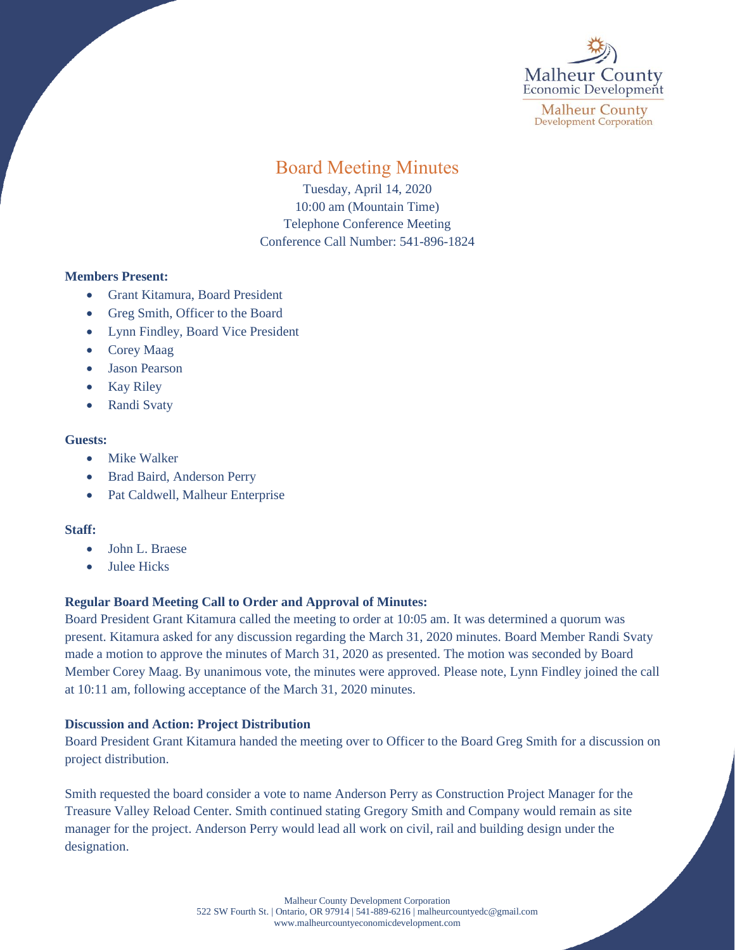

**Malheur County Development Corporation** 

# Board Meeting Minutes

Tuesday, April 14, 2020 10:00 am (Mountain Time) Telephone Conference Meeting Conference Call Number: 541-896-1824

### **Members Present:**

- Grant Kitamura, Board President
- Greg Smith, Officer to the Board
- Lynn Findley, Board Vice President
- Corey Maag
- Jason Pearson
- Kay Riley
- Randi Svaty

#### **Guests:**

- Mike Walker
- Brad Baird, Anderson Perry
- Pat Caldwell, Malheur Enterprise

# **Staff:**

- John L. Braese
- **Julee Hicks**

# **Regular Board Meeting Call to Order and Approval of Minutes:**

Board President Grant Kitamura called the meeting to order at 10:05 am. It was determined a quorum was present. Kitamura asked for any discussion regarding the March 31, 2020 minutes. Board Member Randi Svaty made a motion to approve the minutes of March 31, 2020 as presented. The motion was seconded by Board Member Corey Maag. By unanimous vote, the minutes were approved. Please note, Lynn Findley joined the call at 10:11 am, following acceptance of the March 31, 2020 minutes.

# **Discussion and Action: Project Distribution**

Board President Grant Kitamura handed the meeting over to Officer to the Board Greg Smith for a discussion on project distribution.

Smith requested the board consider a vote to name Anderson Perry as Construction Project Manager for the Treasure Valley Reload Center. Smith continued stating Gregory Smith and Company would remain as site manager for the project. Anderson Perry would lead all work on civil, rail and building design under the designation.